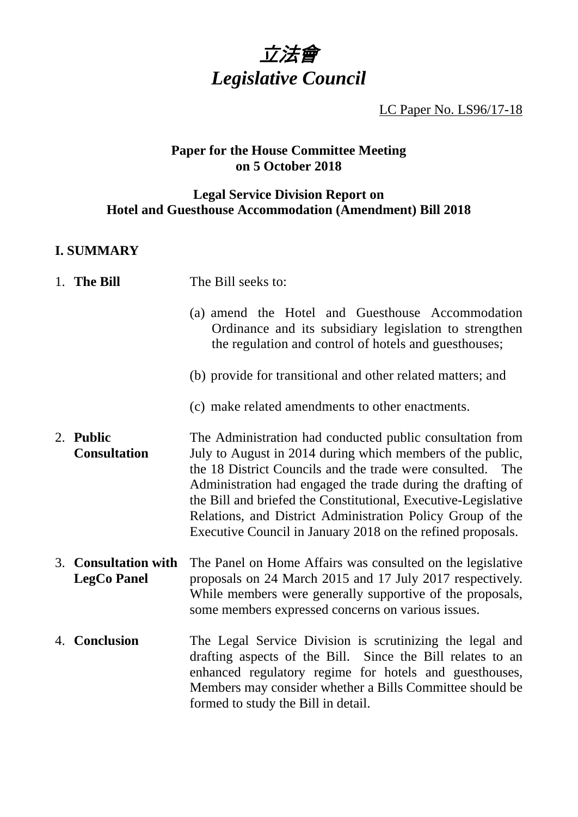

LC Paper No. LS96/17-18

# **Paper for the House Committee Meeting on 5 October 2018**

# **Legal Service Division Report on Hotel and Guesthouse Accommodation (Amendment) Bill 2018**

# **I. SUMMARY**

| 1. The Bill | The Bill seeks to: |
|-------------|--------------------|
|             |                    |

- (a) amend the Hotel and Guesthouse Accommodation Ordinance and its subsidiary legislation to strengthen the regulation and control of hotels and guesthouses;
- (b) provide for transitional and other related matters; and
- (c) make related amendments to other enactments.
- 2. **Public Consultation** The Administration had conducted public consultation from July to August in 2014 during which members of the public, the 18 District Councils and the trade were consulted. The Administration had engaged the trade during the drafting of the Bill and briefed the Constitutional, Executive-Legislative Relations, and District Administration Policy Group of the Executive Council in January 2018 on the refined proposals.
- 3. **Consultation with LegCo Panel** The Panel on Home Affairs was consulted on the legislative proposals on 24 March 2015 and 17 July 2017 respectively. While members were generally supportive of the proposals, some members expressed concerns on various issues.
- 4. **Conclusion** The Legal Service Division is scrutinizing the legal and drafting aspects of the Bill. Since the Bill relates to an enhanced regulatory regime for hotels and guesthouses, Members may consider whether a Bills Committee should be formed to study the Bill in detail.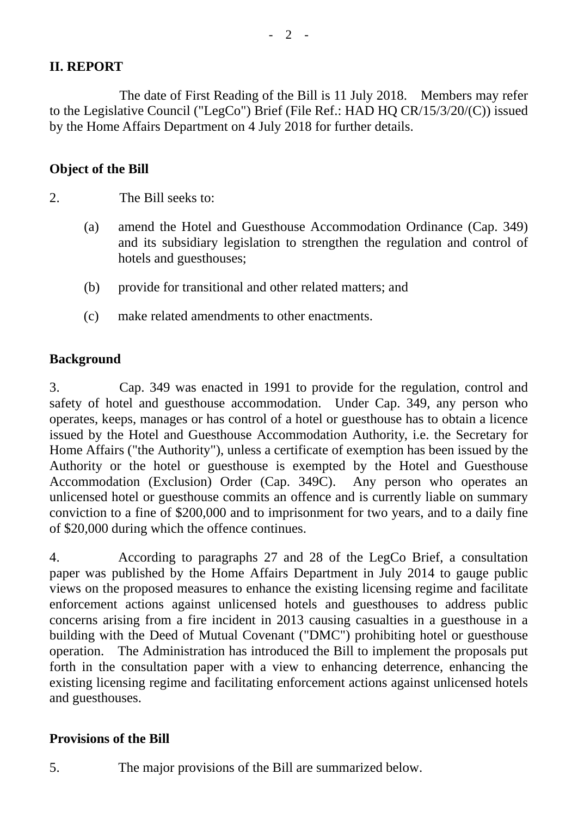# **II. REPORT**

The date of First Reading of the Bill is 11 July 2018. Members may refer to the Legislative Council ("LegCo") Brief (File Ref.: HAD HQ CR/15/3/20/(C)) issued by the Home Affairs Department on 4 July 2018 for further details.

### **Object of the Bill**

- 2. The Bill seeks to:
	- (a) amend the Hotel and Guesthouse Accommodation Ordinance (Cap. 349) and its subsidiary legislation to strengthen the regulation and control of hotels and guesthouses;
	- (b) provide for transitional and other related matters; and
	- (c) make related amendments to other enactments.

#### **Background**

3. Cap. 349 was enacted in 1991 to provide for the regulation, control and safety of hotel and guesthouse accommodation. Under Cap. 349, any person who operates, keeps, manages or has control of a hotel or guesthouse has to obtain a licence issued by the Hotel and Guesthouse Accommodation Authority, i.e. the Secretary for Home Affairs ("the Authority"), unless a certificate of exemption has been issued by the Authority or the hotel or guesthouse is exempted by the Hotel and Guesthouse Accommodation (Exclusion) Order (Cap. 349C). Any person who operates an unlicensed hotel or guesthouse commits an offence and is currently liable on summary conviction to a fine of \$200,000 and to imprisonment for two years, and to a daily fine of \$20,000 during which the offence continues.

4. According to paragraphs 27 and 28 of the LegCo Brief, a consultation paper was published by the Home Affairs Department in July 2014 to gauge public views on the proposed measures to enhance the existing licensing regime and facilitate enforcement actions against unlicensed hotels and guesthouses to address public concerns arising from a fire incident in 2013 causing casualties in a guesthouse in a building with the Deed of Mutual Covenant ("DMC") prohibiting hotel or guesthouse operation. The Administration has introduced the Bill to implement the proposals put forth in the consultation paper with a view to enhancing deterrence, enhancing the existing licensing regime and facilitating enforcement actions against unlicensed hotels and guesthouses.

#### **Provisions of the Bill**

5. The major provisions of the Bill are summarized below.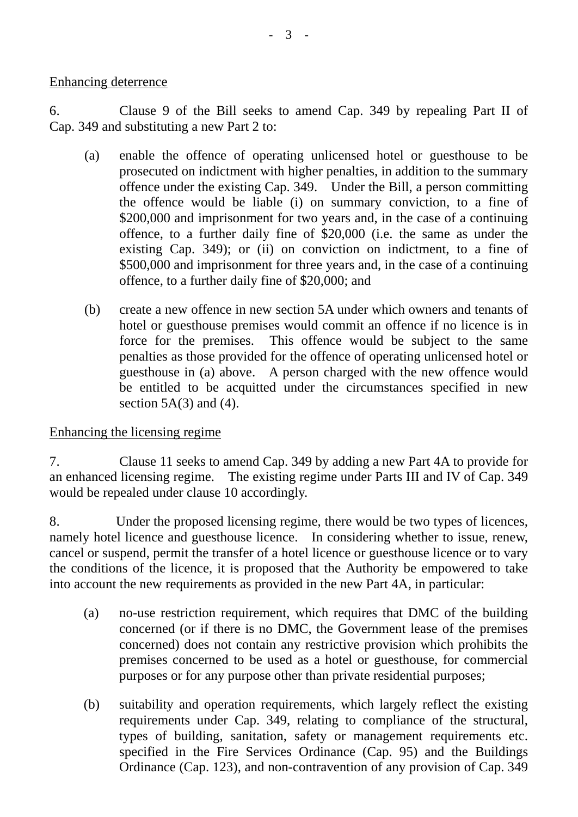Enhancing deterrence

6. Clause 9 of the Bill seeks to amend Cap. 349 by repealing Part II of Cap. 349 and substituting a new Part 2 to:

- (a) enable the offence of operating unlicensed hotel or guesthouse to be prosecuted on indictment with higher penalties, in addition to the summary offence under the existing Cap. 349. Under the Bill, a person committing the offence would be liable (i) on summary conviction, to a fine of \$200,000 and imprisonment for two years and, in the case of a continuing offence, to a further daily fine of \$20,000 (i.e. the same as under the existing Cap. 349); or (ii) on conviction on indictment, to a fine of \$500,000 and imprisonment for three years and, in the case of a continuing offence, to a further daily fine of \$20,000; and
- (b) create a new offence in new section 5A under which owners and tenants of hotel or guesthouse premises would commit an offence if no licence is in force for the premises. This offence would be subject to the same penalties as those provided for the offence of operating unlicensed hotel or guesthouse in (a) above. A person charged with the new offence would be entitled to be acquitted under the circumstances specified in new section  $5A(3)$  and  $(4)$ .

Enhancing the licensing regime

7. Clause 11 seeks to amend Cap. 349 by adding a new Part 4A to provide for an enhanced licensing regime. The existing regime under Parts III and IV of Cap. 349 would be repealed under clause 10 accordingly.

8. Under the proposed licensing regime, there would be two types of licences, namely hotel licence and guesthouse licence. In considering whether to issue, renew, cancel or suspend, permit the transfer of a hotel licence or guesthouse licence or to vary the conditions of the licence, it is proposed that the Authority be empowered to take into account the new requirements as provided in the new Part 4A, in particular:

- (a) no-use restriction requirement, which requires that DMC of the building concerned (or if there is no DMC, the Government lease of the premises concerned) does not contain any restrictive provision which prohibits the premises concerned to be used as a hotel or guesthouse, for commercial purposes or for any purpose other than private residential purposes;
- (b) suitability and operation requirements, which largely reflect the existing requirements under Cap. 349, relating to compliance of the structural, types of building, sanitation, safety or management requirements etc. specified in the Fire Services Ordinance (Cap. 95) and the Buildings Ordinance (Cap. 123), and non-contravention of any provision of Cap. 349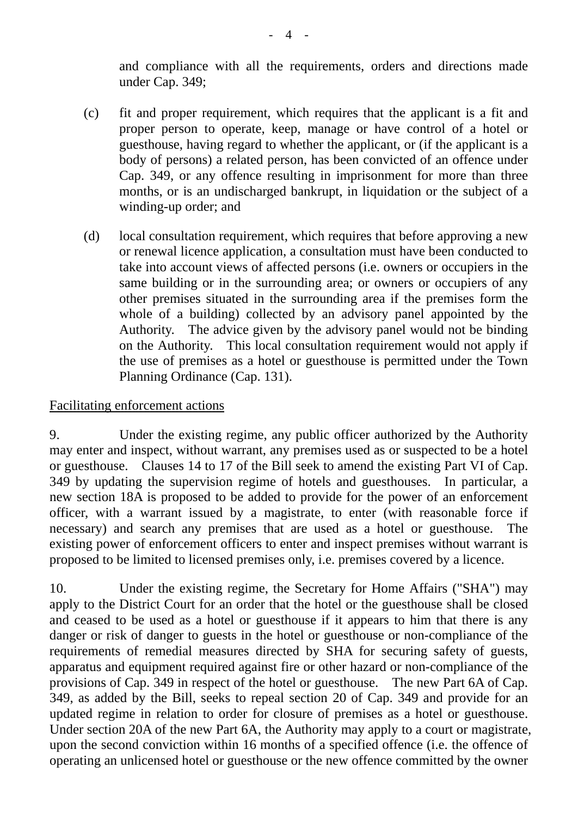and compliance with all the requirements, orders and directions made under Cap. 349;

- (c) fit and proper requirement, which requires that the applicant is a fit and proper person to operate, keep, manage or have control of a hotel or guesthouse, having regard to whether the applicant, or (if the applicant is a body of persons) a related person, has been convicted of an offence under Cap. 349, or any offence resulting in imprisonment for more than three months, or is an undischarged bankrupt, in liquidation or the subject of a winding-up order; and
- (d) local consultation requirement, which requires that before approving a new or renewal licence application, a consultation must have been conducted to take into account views of affected persons (i.e. owners or occupiers in the same building or in the surrounding area; or owners or occupiers of any other premises situated in the surrounding area if the premises form the whole of a building) collected by an advisory panel appointed by the Authority. The advice given by the advisory panel would not be binding on the Authority. This local consultation requirement would not apply if the use of premises as a hotel or guesthouse is permitted under the Town Planning Ordinance (Cap. 131).

# Facilitating enforcement actions

9. Under the existing regime, any public officer authorized by the Authority may enter and inspect, without warrant, any premises used as or suspected to be a hotel or guesthouse. Clauses 14 to 17 of the Bill seek to amend the existing Part VI of Cap. 349 by updating the supervision regime of hotels and guesthouses. In particular, a new section 18A is proposed to be added to provide for the power of an enforcement officer, with a warrant issued by a magistrate, to enter (with reasonable force if necessary) and search any premises that are used as a hotel or guesthouse. The existing power of enforcement officers to enter and inspect premises without warrant is proposed to be limited to licensed premises only, i.e. premises covered by a licence.

10. Under the existing regime, the Secretary for Home Affairs ("SHA") may apply to the District Court for an order that the hotel or the guesthouse shall be closed and ceased to be used as a hotel or guesthouse if it appears to him that there is any danger or risk of danger to guests in the hotel or guesthouse or non-compliance of the requirements of remedial measures directed by SHA for securing safety of guests, apparatus and equipment required against fire or other hazard or non-compliance of the provisions of Cap. 349 in respect of the hotel or guesthouse. The new Part 6A of Cap. 349, as added by the Bill, seeks to repeal section 20 of Cap. 349 and provide for an updated regime in relation to order for closure of premises as a hotel or guesthouse. Under section 20A of the new Part 6A, the Authority may apply to a court or magistrate, upon the second conviction within 16 months of a specified offence (i.e. the offence of operating an unlicensed hotel or guesthouse or the new offence committed by the owner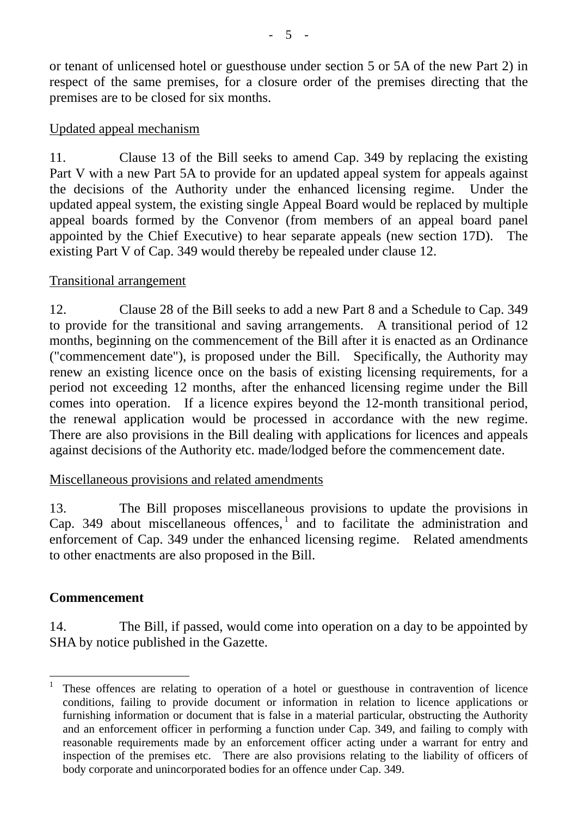or tenant of unlicensed hotel or guesthouse under section 5 or 5A of the new Part 2) in respect of the same premises, for a closure order of the premises directing that the premises are to be closed for six months.

# Updated appeal mechanism

11. Clause 13 of the Bill seeks to amend Cap. 349 by replacing the existing Part V with a new Part 5A to provide for an updated appeal system for appeals against the decisions of the Authority under the enhanced licensing regime. Under the updated appeal system, the existing single Appeal Board would be replaced by multiple appeal boards formed by the Convenor (from members of an appeal board panel appointed by the Chief Executive) to hear separate appeals (new section 17D). The existing Part V of Cap. 349 would thereby be repealed under clause 12.

# Transitional arrangement

12. Clause 28 of the Bill seeks to add a new Part 8 and a Schedule to Cap. 349 to provide for the transitional and saving arrangements. A transitional period of 12 months, beginning on the commencement of the Bill after it is enacted as an Ordinance ("commencement date"), is proposed under the Bill. Specifically, the Authority may renew an existing licence once on the basis of existing licensing requirements, for a period not exceeding 12 months, after the enhanced licensing regime under the Bill comes into operation. If a licence expires beyond the 12-month transitional period, the renewal application would be processed in accordance with the new regime. There are also provisions in the Bill dealing with applications for licences and appeals against decisions of the Authority etc. made/lodged before the commencement date.

# Miscellaneous provisions and related amendments

13. The Bill proposes miscellaneous provisions to update the provisions in Cap. 349 about miscellaneous offences,<sup>[1](#page-4-0)</sup> and to facilitate the administration and enforcement of Cap. 349 under the enhanced licensing regime. Related amendments to other enactments are also proposed in the Bill.

# **Commencement**

14. The Bill, if passed, would come into operation on a day to be appointed by SHA by notice published in the Gazette.

<span id="page-4-0"></span><sup>&</sup>lt;sup>1</sup> These offences are relating to operation of a hotel or guesthouse in contravention of licence conditions, failing to provide document or information in relation to licence applications or furnishing information or document that is false in a material particular, obstructing the Authority and an enforcement officer in performing a function under Cap. 349, and failing to comply with reasonable requirements made by an enforcement officer acting under a warrant for entry and inspection of the premises etc. There are also provisions relating to the liability of officers of body corporate and unincorporated bodies for an offence under Cap. 349.